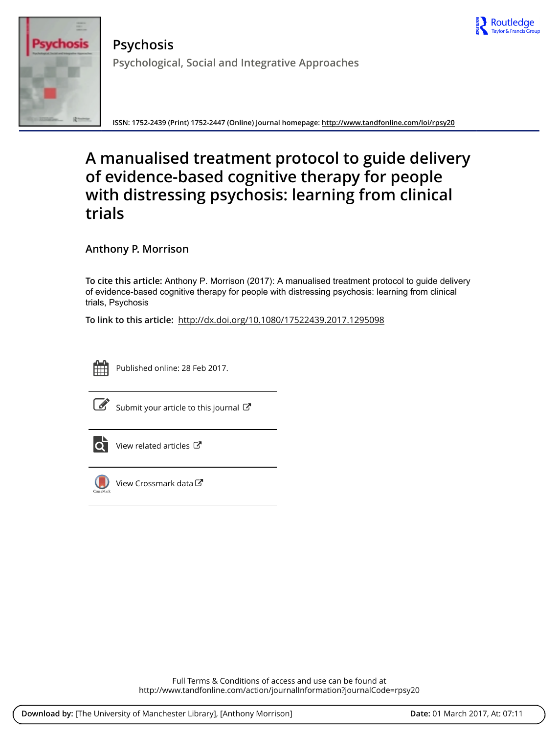



**Psychosis Psychological, Social and Integrative Approaches**

**ISSN: 1752-2439 (Print) 1752-2447 (Online) Journal homepage:<http://www.tandfonline.com/loi/rpsy20>**

# **A manualised treatment protocol to guide delivery of evidence-based cognitive therapy for people with distressing psychosis: learning from clinical trials**

**Anthony P. Morrison**

**To cite this article:** Anthony P. Morrison (2017): A manualised treatment protocol to guide delivery of evidence-based cognitive therapy for people with distressing psychosis: learning from clinical trials, Psychosis

**To link to this article:** <http://dx.doi.org/10.1080/17522439.2017.1295098>



Published online: 28 Feb 2017.



[Submit your article to this journal](http://www.tandfonline.com/action/authorSubmission?journalCode=rpsy20&show=instructions)  $\mathbb{C}$ 



[View related articles](http://www.tandfonline.com/doi/mlt/10.1080/17522439.2017.1295098) C



[View Crossmark data](http://crossmark.crossref.org/dialog/?doi=10.1080/17522439.2017.1295098&domain=pdf&date_stamp=2017-02-28)  $\sigma$ 

Full Terms & Conditions of access and use can be found at <http://www.tandfonline.com/action/journalInformation?journalCode=rpsy20>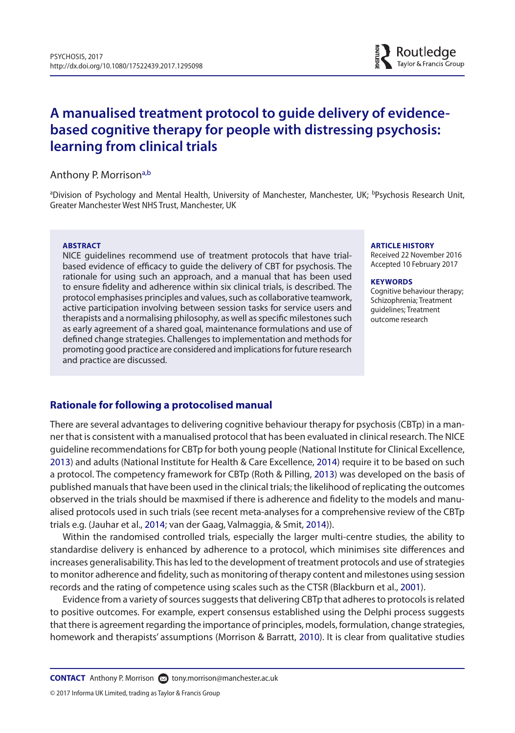# **A manualised treatment protocol to guide delivery of evidencebased cognitive therapy for people with distressing psychosis: learning from clinical trials**

## Anthony P. Morrison<sup>a[,b](#page-1-1)</sup>

<span id="page-1-1"></span><span id="page-1-0"></span><sup>a</sup>Division of Psychology and Mental Health, University of Manchester, Manchester, UK; <sup>b</sup>Psychosis Research Unit, Greater Manchester West NHS Trust, Manchester, UK

#### **ABSTRACT**

NICE guidelines recommend use of treatment protocols that have trialbased evidence of efficacy to guide the delivery of CBT for psychosis. The rationale for using such an approach, and a manual that has been used to ensure fidelity and adherence within six clinical trials, is described. The protocol emphasises principles and values, such as collaborative teamwork, active participation involving between session tasks for service users and therapists and a normalising philosophy, as well as specific milestones such as early agreement of a shared goal, maintenance formulations and use of defined change strategies. Challenges to implementation and methods for promoting good practice are considered and implications for future research and practice are discussed.

#### **ARTICLE HISTORY**

Received 22 November 2016 Accepted 10 February 2017

#### **KEYWORDS**

<span id="page-1-8"></span><span id="page-1-7"></span><span id="page-1-5"></span><span id="page-1-3"></span><span id="page-1-2"></span>Cognitive behaviour therapy: Schizophrenia; Treatment guidelines; Treatment outcome research

# **Rationale for following a protocolised manual**

<span id="page-1-6"></span>There are several advantages to delivering cognitive behaviour therapy for psychosis (CBTp) in a manner that is consistent with a manualised protocol that has been evaluated in clinical research. The NICE guideline recommendations for CBTp for both young people (National Institute for Clinical Excellence, [2013](#page-11-0)) and adults (National Institute for Health & Care Excellence, [2014](#page-11-1)) require it to be based on such a protocol. The competency framework for CBTp (Roth & Pilling, [2013\)](#page-11-2) was developed on the basis of published manuals that have been used in the clinical trials; the likelihood of replicating the outcomes observed in the trials should be maxmised if there is adherence and fidelity to the models and manualised protocols used in such trials (see recent meta-analyses for a comprehensive review of the CBTp trials e.g. (Jauhar et al., [2014](#page-10-0); van der Gaag, Valmaggia, & Smit, [2014\)](#page-10-1)).

<span id="page-1-4"></span>Within the randomised controlled trials, especially the larger multi-centre studies, the ability to standardise delivery is enhanced by adherence to a protocol, which minimises site differences and increases generalisability. This has led to the development of treatment protocols and use of strategies to monitor adherence and fidelity, such as monitoring of therapy content and milestones using session records and the rating of competence using scales such as the CTSR (Blackburn et al., [2001](#page-10-2)).

Evidence from a variety of sources suggests that delivering CBTp that adheres to protocols is related to positive outcomes. For example, expert consensus established using the Delphi process suggests that there is agreement regarding the importance of principles, models, formulation, change strategies, homework and therapists' assumptions (Morrison & Barratt, [2010](#page-10-3)). It is clear from qualitative studies

**CONTACT** Anthony P. Morrison and [tony.morrison@manchester.ac.uk](mailto: tony.morrison@manchester.ac.uk)

© 2017 Informa UK Limited, trading as Taylor & Francis Group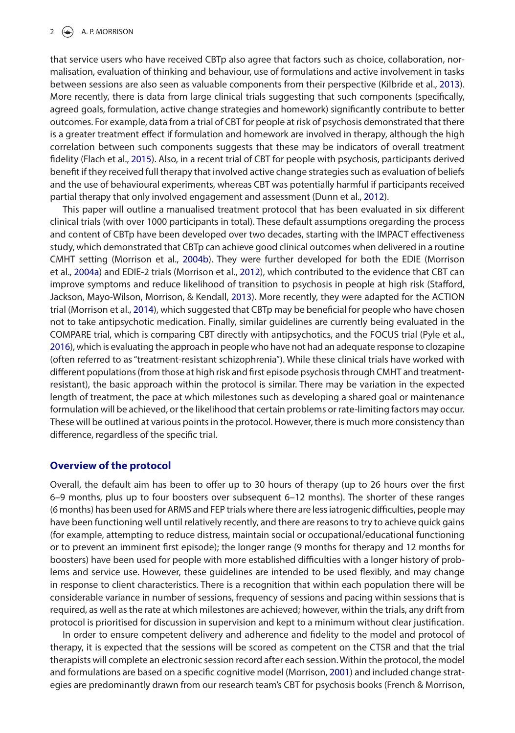<span id="page-2-2"></span>that service users who have received CBTp also agree that factors such as choice, collaboration, normalisation, evaluation of thinking and behaviour, use of formulations and active involvement in tasks between sessions are also seen as valuable components from their perspective (Kilbride et al., [2013\)](#page-10-4). More recently, there is data from large clinical trials suggesting that such components (specifically, agreed goals, formulation, active change strategies and homework) significantly contribute to better outcomes. For example, data from a trial of CBT for people at risk of psychosis demonstrated that there is a greater treatment effect if formulation and homework are involved in therapy, although the high correlation between such components suggests that these may be indicators of overall treatment fidelity (Flach et al., [2015](#page-10-5)). Also, in a recent trial of CBT for people with psychosis, participants derived benefit if they received full therapy that involved active change strategies such as evaluation of beliefs and the use of behavioural experiments, whereas CBT was potentially harmful if participants received partial therapy that only involved engagement and assessment (Dunn et al., [2012](#page-10-6)).

<span id="page-2-9"></span><span id="page-2-7"></span><span id="page-2-6"></span><span id="page-2-5"></span><span id="page-2-4"></span><span id="page-2-1"></span><span id="page-2-0"></span>This paper will outline a manualised treatment protocol that has been evaluated in six different clinical trials (with over 1000 participants in total). These default assumptions oregarding the process and content of CBTp have been developed over two decades, starting with the IMPACT effectiveness study, which demonstrated that CBTp can achieve good clinical outcomes when delivered in a routine CMHT setting (Morrison et al., [2004b\)](#page-11-3). They were further developed for both the EDIE (Morrison et al., [2004a\)](#page-10-7) and EDIE-2 trials (Morrison et al., [2012](#page-10-8)), which contributed to the evidence that CBT can improve symptoms and reduce likelihood of transition to psychosis in people at high risk (Stafford, Jackson, Mayo-Wilson, Morrison, & Kendall, [2013](#page-11-4)). More recently, they were adapted for the ACTION trial (Morrison et al., [2014](#page-11-5)), which suggested that CBTp may be beneficial for people who have chosen not to take antipsychotic medication. Finally, similar guidelines are currently being evaluated in the COMPARE trial, which is comparing CBT directly with antipsychotics, and the FOCUS trial (Pyle et al., [2016](#page-11-6)), which is evaluating the approach in people who have not had an adequate response to clozapine (often referred to as "treatment-resistant schizophrenia"). While these clinical trials have worked with different populations (from those at high risk and first episode psychosis through CMHT and treatmentresistant), the basic approach within the protocol is similar. There may be variation in the expected length of treatment, the pace at which milestones such as developing a shared goal or maintenance formulation will be achieved, or the likelihood that certain problems or rate-limiting factors may occur. These will be outlined at various points in the protocol. However, there is much more consistency than difference, regardless of the specific trial.

## <span id="page-2-8"></span>**Overview of the protocol**

Overall, the default aim has been to offer up to 30 hours of therapy (up to 26 hours over the first 6–9 months, plus up to four boosters over subsequent 6–12 months). The shorter of these ranges (6 months) has been used for ARMS and FEP trials where there are less iatrogenic difficulties, people may have been functioning well until relatively recently, and there are reasons to try to achieve quick gains (for example, attempting to reduce distress, maintain social or occupational/educational functioning or to prevent an imminent first episode); the longer range (9 months for therapy and 12 months for boosters) have been used for people with more established difficulties with a longer history of problems and service use. However, these guidelines are intended to be used flexibly, and may change in response to client characteristics. There is a recognition that within each population there will be considerable variance in number of sessions, frequency of sessions and pacing within sessions that is required, as well as the rate at which milestones are achieved; however, within the trials, any drift from protocol is prioritised for discussion in supervision and kept to a minimum without clear justification.

<span id="page-2-3"></span>In order to ensure competent delivery and adherence and fidelity to the model and protocol of therapy, it is expected that the sessions will be scored as competent on the CTSR and that the trial therapists will complete an electronic session record after each session. Within the protocol, the model and formulations are based on a specific cognitive model (Morrison, [2001](#page-10-9)) and included change strategies are predominantly drawn from our research team's CBT for psychosis books (French & Morrison,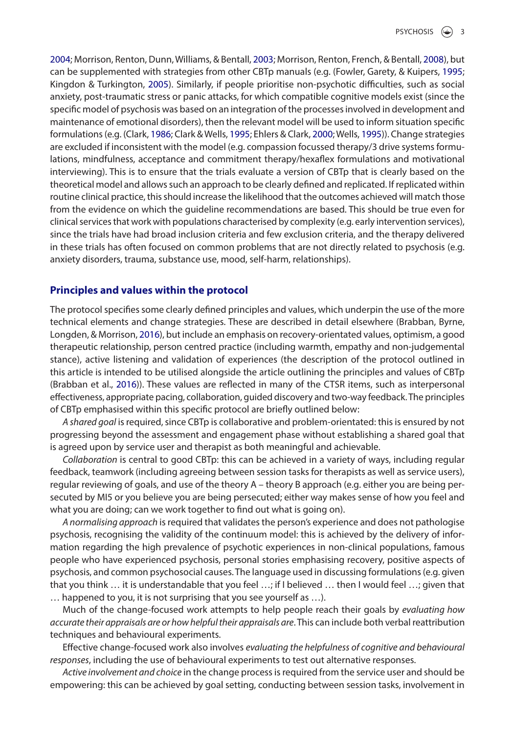<span id="page-3-9"></span><span id="page-3-8"></span><span id="page-3-7"></span><span id="page-3-6"></span><span id="page-3-5"></span><span id="page-3-4"></span><span id="page-3-3"></span><span id="page-3-2"></span><span id="page-3-1"></span>[2004](#page-10-10); Morrison, Renton, Dunn, Williams, & Bentall, [2003](#page-10-11); Morrison, Renton, French, & Bentall, [2008](#page-10-12)), but can be supplemented with strategies from other CBTp manuals (e.g. (Fowler, Garety, & Kuipers, [1995](#page-10-13); Kingdon & Turkington, [2005](#page-10-14)). Similarly, if people prioritise non-psychotic difficulties, such as social anxiety, post-traumatic stress or panic attacks, for which compatible cognitive models exist (since the specific model of psychosis was based on an integration of the processes involved in development and maintenance of emotional disorders), then the relevant model will be used to inform situation specific formulations (e.g. (Clark, [1986;](#page-10-15) Clark & Wells, [1995](#page-10-16); Ehlers & Clark, [2000;](#page-10-17) Wells, [1995\)](#page-11-7)). Change strategies are excluded if inconsistent with the model (e.g. compassion focussed therapy/3 drive systems formulations, mindfulness, acceptance and commitment therapy/hexaflex formulations and motivational interviewing). This is to ensure that the trials evaluate a version of CBTp that is clearly based on the theoretical model and allows such an approach to be clearly defined and replicated. If replicated within routine clinical practice, this should increase the likelihood that the outcomes achieved will match those from the evidence on which the guideline recommendations are based. This should be true even for clinical services that work with populations characterised by complexity (e.g. early intervention services), since the trials have had broad inclusion criteria and few exclusion criteria, and the therapy delivered in these trials has often focused on common problems that are not directly related to psychosis (e.g. anxiety disorders, trauma, substance use, mood, self-harm, relationships).

## **Principles and values within the protocol**

<span id="page-3-0"></span>The protocol specifies some clearly defined principles and values, which underpin the use of the more technical elements and change strategies. These are described in detail elsewhere (Brabban, Byrne, Longden, & Morrison, [2016\)](#page-10-18), but include an emphasis on recovery-orientated values, optimism, a good therapeutic relationship, person centred practice (including warmth, empathy and non-judgemental stance), active listening and validation of experiences (the description of the protocol outlined in this article is intended to be utilised alongside the article outlining the principles and values of CBTp (Brabban et al., [2016\)](#page-10-18)). These values are reflected in many of the CTSR items, such as interpersonal effectiveness, appropriate pacing, collaboration, guided discovery and two-way feedback. The principles of CBTp emphasised within this specific protocol are briefly outlined below:

*A shared goal* is required, since CBTp is collaborative and problem-orientated: this is ensured by not progressing beyond the assessment and engagement phase without establishing a shared goal that is agreed upon by service user and therapist as both meaningful and achievable.

*Collaboration* is central to good CBTp: this can be achieved in a variety of ways, including regular feedback, teamwork (including agreeing between session tasks for therapists as well as service users), regular reviewing of goals, and use of the theory A – theory B approach (e.g. either you are being persecuted by MI5 or you believe you are being persecuted; either way makes sense of how you feel and what you are doing; can we work together to find out what is going on).

*A normalising approach* is required that validates the person's experience and does not pathologise psychosis, recognising the validity of the continuum model: this is achieved by the delivery of information regarding the high prevalence of psychotic experiences in non-clinical populations, famous people who have experienced psychosis, personal stories emphasising recovery, positive aspects of psychosis, and common psychosocial causes. The language used in discussing formulations (e.g. given that you think … it is understandable that you feel …; if I believed … then I would feel …; given that … happened to you, it is not surprising that you see yourself as …).

Much of the change-focused work attempts to help people reach their goals by *evaluating how accurate their appraisals are or how helpful their appraisals are*. This can include both verbal reattribution techniques and behavioural experiments.

Effective change-focused work also involves *evaluating the helpfulness of cognitive and behavioural responses*, including the use of behavioural experiments to test out alternative responses.

*Active involvement and choice* in the change process is required from the service user and should be empowering: this can be achieved by goal setting, conducting between session tasks, involvement in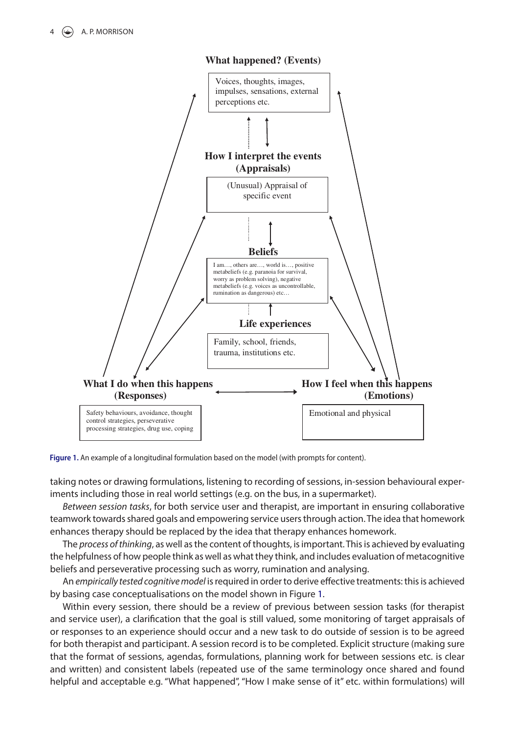

**What happened? (Events)**

<span id="page-4-0"></span>Figure 1. An example of a longitudinal formulation based on the model (with prompts for content).

taking notes or drawing formulations, listening to recording of sessions, in-session behavioural experiments including those in real world settings (e.g. on the bus, in a supermarket).

*Between session tasks*, for both service user and therapist, are important in ensuring collaborative teamwork towards shared goals and empowering service users through action. The idea that homework enhances therapy should be replaced by the idea that therapy enhances homework.

The *process of thinking*, as well as the content of thoughts, is important. This is achieved by evaluating the helpfulness of how people think as well as what they think, and includes evaluation of metacognitive beliefs and perseverative processing such as worry, rumination and analysing.

An *empirically tested cognitive model* is required in order to derive effective treatments: this is achieved by basing case conceptualisations on the model shown in Figure [1](#page-4-0).

Within every session, there should be a review of previous between session tasks (for therapist and service user), a clarification that the goal is still valued, some monitoring of target appraisals of or responses to an experience should occur and a new task to do outside of session is to be agreed for both therapist and participant. A session record is to be completed. Explicit structure (making sure that the format of sessions, agendas, formulations, planning work for between sessions etc. is clear and written) and consistent labels (repeated use of the same terminology once shared and found helpful and acceptable e.g. "What happened", "How I make sense of it" etc. within formulations) will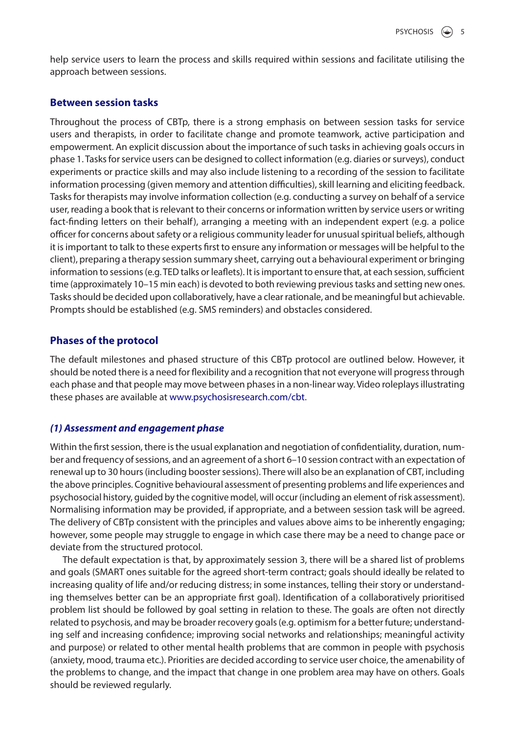help service users to learn the process and skills required within sessions and facilitate utilising the approach between sessions.

#### **Between session tasks**

Throughout the process of CBTp, there is a strong emphasis on between session tasks for service users and therapists, in order to facilitate change and promote teamwork, active participation and empowerment. An explicit discussion about the importance of such tasks in achieving goals occurs in phase 1. Tasks for service users can be designed to collect information (e.g. diaries or surveys), conduct experiments or practice skills and may also include listening to a recording of the session to facilitate information processing (given memory and attention difficulties), skill learning and eliciting feedback. Tasks for therapists may involve information collection (e.g. conducting a survey on behalf of a service user, reading a book that is relevant to their concerns or information written by service users or writing fact-finding letters on their behalf), arranging a meeting with an independent expert (e.g. a police officer for concerns about safety or a religious community leader for unusual spiritual beliefs, although it is important to talk to these experts first to ensure any information or messages will be helpful to the client), preparing a therapy session summary sheet, carrying out a behavioural experiment or bringing information to sessions (e.g. TED talks or leaflets). It is important to ensure that, at each session, sufficient time (approximately 10–15 min each) is devoted to both reviewing previous tasks and setting new ones. Tasks should be decided upon collaboratively, have a clear rationale, and be meaningful but achievable. Prompts should be established (e.g. SMS reminders) and obstacles considered.

# **Phases of the protocol**

The default milestones and phased structure of this CBTp protocol are outlined below. However, it should be noted there is a need for flexibility and a recognition that not everyone will progress through each phase and that people may move between phases in a non-linear way. Video roleplays illustrating these phases are available at [www.psychosisresearch.com/cbt.](http://www.psychosisresearch.com/cbt)

## *(1) Assessment and engagement phase*

Within the first session, there is the usual explanation and negotiation of confidentiality, duration, number and frequency of sessions, and an agreement of a short 6–10 session contract with an expectation of renewal up to 30 hours (including booster sessions). There will also be an explanation of CBT, including the above principles. Cognitive behavioural assessment of presenting problems and life experiences and psychosocial history, guided by the cognitive model, will occur (including an element of risk assessment). Normalising information may be provided, if appropriate, and a between session task will be agreed. The delivery of CBTp consistent with the principles and values above aims to be inherently engaging; however, some people may struggle to engage in which case there may be a need to change pace or deviate from the structured protocol.

The default expectation is that, by approximately session 3, there will be a shared list of problems and goals (SMART ones suitable for the agreed short-term contract; goals should ideally be related to increasing quality of life and/or reducing distress; in some instances, telling their story or understanding themselves better can be an appropriate first goal). Identification of a collaboratively prioritised problem list should be followed by goal setting in relation to these. The goals are often not directly related to psychosis, and may be broader recovery goals (e.g. optimism for a better future; understanding self and increasing confidence; improving social networks and relationships; meaningful activity and purpose) or related to other mental health problems that are common in people with psychosis (anxiety, mood, trauma etc.). Priorities are decided according to service user choice, the amenability of the problems to change, and the impact that change in one problem area may have on others. Goals should be reviewed regularly.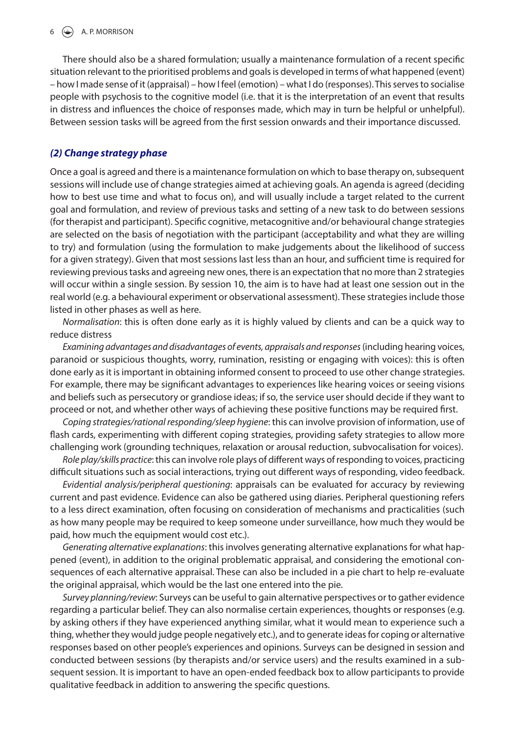#### $6 \quad \circledast$  A. P. MORRISON

There should also be a shared formulation; usually a maintenance formulation of a recent specific situation relevant to the prioritised problems and goals is developed in terms of what happened (event) – how I made sense of it (appraisal) – how I feel (emotion) – what I do (responses). This serves to socialise people with psychosis to the cognitive model (i.e. that it is the interpretation of an event that results in distress and influences the choice of responses made, which may in turn be helpful or unhelpful). Between session tasks will be agreed from the first session onwards and their importance discussed.

#### *(2) Change strategy phase*

Once a goal is agreed and there is a maintenance formulation on which to base therapy on, subsequent sessions will include use of change strategies aimed at achieving goals. An agenda is agreed (deciding how to best use time and what to focus on), and will usually include a target related to the current goal and formulation, and review of previous tasks and setting of a new task to do between sessions (for therapist and participant). Specific cognitive, metacognitive and/or behavioural change strategies are selected on the basis of negotiation with the participant (acceptability and what they are willing to try) and formulation (using the formulation to make judgements about the likelihood of success for a given strategy). Given that most sessions last less than an hour, and sufficient time is required for reviewing previous tasks and agreeing new ones, there is an expectation that no more than 2 strategies will occur within a single session. By session 10, the aim is to have had at least one session out in the real world (e.g. a behavioural experiment or observational assessment). These strategies include those listed in other phases as well as here.

*Normalisation*: this is often done early as it is highly valued by clients and can be a quick way to reduce distress

*Examining advantages and disadvantages of events, appraisals and responses* (including hearing voices, paranoid or suspicious thoughts, worry, rumination, resisting or engaging with voices): this is often done early as it is important in obtaining informed consent to proceed to use other change strategies. For example, there may be significant advantages to experiences like hearing voices or seeing visions and beliefs such as persecutory or grandiose ideas; if so, the service user should decide if they want to proceed or not, and whether other ways of achieving these positive functions may be required first.

*Coping strategies/rational responding/sleep hygiene*: this can involve provision of information, use of flash cards, experimenting with different coping strategies, providing safety strategies to allow more challenging work (grounding techniques, relaxation or arousal reduction, subvocalisation for voices).

*Role play/skills practice*: this can involve role plays of different ways of responding to voices, practicing difficult situations such as social interactions, trying out different ways of responding, video feedback.

*Evidential analysis/peripheral questioning*: appraisals can be evaluated for accuracy by reviewing current and past evidence. Evidence can also be gathered using diaries. Peripheral questioning refers to a less direct examination, often focusing on consideration of mechanisms and practicalities (such as how many people may be required to keep someone under surveillance, how much they would be paid, how much the equipment would cost etc.).

*Generating alternative explanations*: this involves generating alternative explanations for what happened (event), in addition to the original problematic appraisal, and considering the emotional consequences of each alternative appraisal. These can also be included in a pie chart to help re-evaluate the original appraisal, which would be the last one entered into the pie.

*Survey planning/review*: Surveys can be useful to gain alternative perspectives or to gather evidence regarding a particular belief. They can also normalise certain experiences, thoughts or responses (e.g. by asking others if they have experienced anything similar, what it would mean to experience such a thing, whether they would judge people negatively etc.), and to generate ideas for coping or alternative responses based on other people's experiences and opinions. Surveys can be designed in session and conducted between sessions (by therapists and/or service users) and the results examined in a subsequent session. It is important to have an open-ended feedback box to allow participants to provide qualitative feedback in addition to answering the specific questions.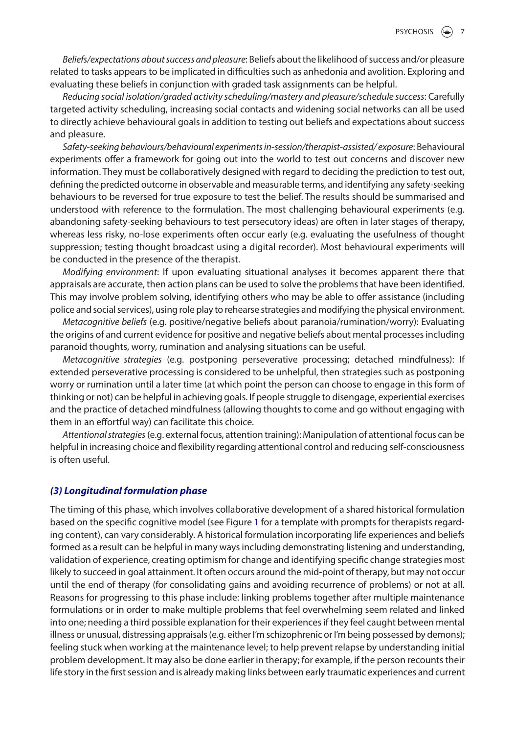*Beliefs/expectations about success and pleasure*: Beliefs about the likelihood of success and/or pleasure related to tasks appears to be implicated in difficulties such as anhedonia and avolition. Exploring and evaluating these beliefs in conjunction with graded task assignments can be helpful.

*Reducing social isolation/graded activity scheduling/mastery and pleasure/schedule success*: Carefully targeted activity scheduling, increasing social contacts and widening social networks can all be used to directly achieve behavioural goals in addition to testing out beliefs and expectations about success and pleasure.

*Safety*-*seeking behaviours/behavioural experiments in*-*session/therapist*-*assisted/ exposure*: Behavioural experiments offer a framework for going out into the world to test out concerns and discover new information. They must be collaboratively designed with regard to deciding the prediction to test out, defining the predicted outcome in observable and measurable terms, and identifying any safety-seeking behaviours to be reversed for true exposure to test the belief. The results should be summarised and understood with reference to the formulation. The most challenging behavioural experiments (e.g. abandoning safety-seeking behaviours to test persecutory ideas) are often in later stages of therapy, whereas less risky, no-lose experiments often occur early (e.g. evaluating the usefulness of thought suppression; testing thought broadcast using a digital recorder). Most behavioural experiments will be conducted in the presence of the therapist.

*Modifying environment*: If upon evaluating situational analyses it becomes apparent there that appraisals are accurate, then action plans can be used to solve the problems that have been identified. This may involve problem solving, identifying others who may be able to offer assistance (including police and social services), using role play to rehearse strategies and modifying the physical environment.

*Metacognitive beliefs* (e.g. positive/negative beliefs about paranoia/rumination/worry): Evaluating the origins of and current evidence for positive and negative beliefs about mental processes including paranoid thoughts, worry, rumination and analysing situations can be useful.

*Metacognitive strategies* (e.g. postponing perseverative processing; detached mindfulness): If extended perseverative processing is considered to be unhelpful, then strategies such as postponing worry or rumination until a later time (at which point the person can choose to engage in this form of thinking or not) can be helpful in achieving goals. If people struggle to disengage, experiential exercises and the practice of detached mindfulness (allowing thoughts to come and go without engaging with them in an effortful way) can facilitate this choice.

*Attentional strategies* (e.g. external focus, attention training): Manipulation of attentional focus can be helpful in increasing choice and flexibility regarding attentional control and reducing self-consciousness is often useful.

#### *(3) Longitudinal formulation phase*

The timing of this phase, which involves collaborative development of a shared historical formulation based on the specific cognitive model (see Figure [1](#page-4-0) for a template with prompts for therapists regarding content), can vary considerably. A historical formulation incorporating life experiences and beliefs formed as a result can be helpful in many ways including demonstrating listening and understanding, validation of experience, creating optimism for change and identifying specific change strategies most likely to succeed in goal attainment. It often occurs around the mid-point of therapy, but may not occur until the end of therapy (for consolidating gains and avoiding recurrence of problems) or not at all. Reasons for progressing to this phase include: linking problems together after multiple maintenance formulations or in order to make multiple problems that feel overwhelming seem related and linked into one; needing a third possible explanation for their experiences if they feel caught between mental illness or unusual, distressing appraisals (e.g. either I'm schizophrenic or I'm being possessed by demons); feeling stuck when working at the maintenance level; to help prevent relapse by understanding initial problem development. It may also be done earlier in therapy; for example, if the person recounts their life story in the first session and is already making links between early traumatic experiences and current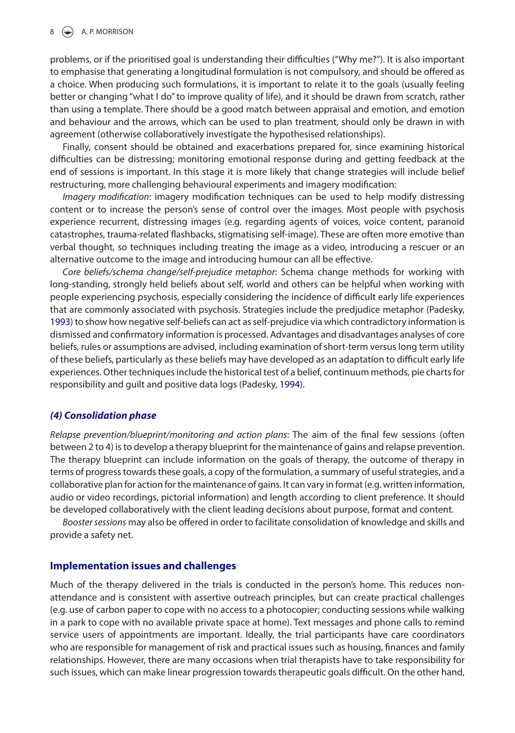problems, or if the prioritised goal is understanding their difficulties ("Why me?"). It is also important to emphasise that generating a longitudinal formulation is not compulsory, and should be offered as a choice. When producing such formulations, it is important to relate it to the goals (usually feeling better or changing "what I do" to improve quality of life), and it should be drawn from scratch, rather than using a template. There should be a good match between appraisal and emotion, and emotion and behaviour and the arrows, which can be used to plan treatment, should only be drawn in with agreement (otherwise collaboratively investigate the hypothesised relationships).

Finally, consent should be obtained and exacerbations prepared for, since examining historical difficulties can be distressing; monitoring emotional response during and getting feedback at the end of sessions is important. In this stage it is more likely that change strategies will include belief restructuring, more challenging behavioural experiments and imagery modification:

*Imagery modification*: imagery modification techniques can be used to help modify distressing content or to increase the person's sense of control over the images. Most people with psychosis experience recurrent, distressing images (e.g. regarding agents of voices, voice content, paranoid catastrophes, trauma-related flashbacks, stigmatising self-image). These are often more emotive than verbal thought, so techniques including treating the image as a video, introducing a rescuer or an alternative outcome to the image and introducing humour can all be effective.

<span id="page-8-0"></span>*Core beliefs/schema change/self*-*prejudice metaphor*: Schema change methods for working with long-standing, strongly held beliefs about self, world and others can be helpful when working with people experiencing psychosis, especially considering the incidence of difficult early life experiences that are commonly associated with psychosis. Strategies include the predjudice metaphor (Padesky, [1993](#page-11-8)) to show how negative self-beliefs can act as self-prejudice via which contradictory information is dismissed and confirmatory information is processed. Advantages and disadvantages analyses of core beliefs, rules or assumptions are advised, including examination of short-term versus long term utility of these beliefs, particularly as these beliefs may have developed as an adaptation to difficult early life experiences. Other techniques include the historical test of a belief, continuum methods, pie charts for responsibility and guilt and positive data logs (Padesky, [1994](#page-11-9)).

#### <span id="page-8-1"></span>*(4) Consolidation phase*

*Relapse prevention/blueprint/monitoring and action plans*: The aim of the final few sessions (often between 2 to 4) is to develop a therapy blueprint for the maintenance of gains and relapse prevention. The therapy blueprint can include information on the goals of therapy, the outcome of therapy in terms of progress towards these goals, a copy of the formulation, a summary of useful strategies, and a collaborative plan for action for the maintenance of gains. It can vary in format (e.g. written information, audio or video recordings, pictorial information) and length according to client preference. It should be developed collaboratively with the client leading decisions about purpose, format and content.

*Booster sessions* may also be offered in order to facilitate consolidation of knowledge and skills and provide a safety net.

#### **Implementation issues and challenges**

Much of the therapy delivered in the trials is conducted in the person's home. This reduces nonattendance and is consistent with assertive outreach principles, but can create practical challenges (e.g. use of carbon paper to cope with no access to a photocopier; conducting sessions while walking in a park to cope with no available private space at home). Text messages and phone calls to remind service users of appointments are important. Ideally, the trial participants have care coordinators who are responsible for management of risk and practical issues such as housing, finances and family relationships. However, there are many occasions when trial therapists have to take responsibility for such issues, which can make linear progression towards therapeutic goals difficult. On the other hand,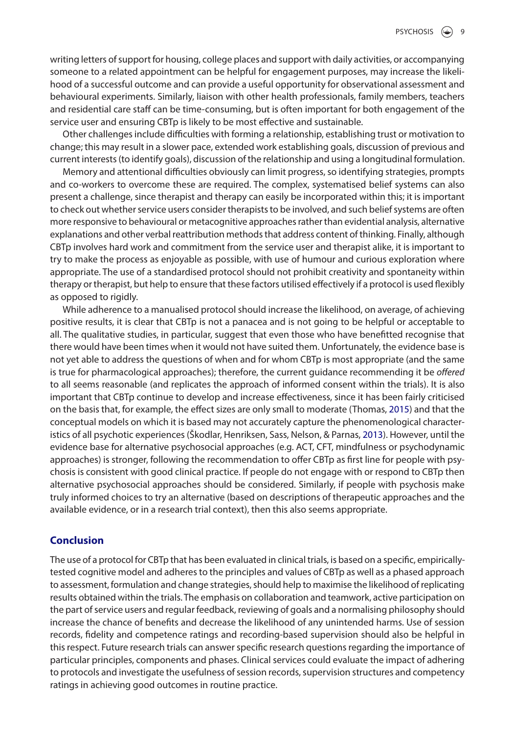writing letters of support for housing, college places and support with daily activities, or accompanying someone to a related appointment can be helpful for engagement purposes, may increase the likelihood of a successful outcome and can provide a useful opportunity for observational assessment and behavioural experiments. Similarly, liaison with other health professionals, family members, teachers and residential care staff can be time-consuming, but is often important for both engagement of the service user and ensuring CBTp is likely to be most effective and sustainable.

Other challenges include difficulties with forming a relationship, establishing trust or motivation to change; this may result in a slower pace, extended work establishing goals, discussion of previous and current interests (to identify goals), discussion of the relationship and using a longitudinal formulation.

Memory and attentional difficulties obviously can limit progress, so identifying strategies, prompts and co-workers to overcome these are required. The complex, systematised belief systems can also present a challenge, since therapist and therapy can easily be incorporated within this; it is important to check out whether service users consider therapists to be involved, and such belief systems are often more responsive to behavioural or metacognitive approaches rather than evidential analysis, alternative explanations and other verbal reattribution methods that address content of thinking. Finally, although CBTp involves hard work and commitment from the service user and therapist alike, it is important to try to make the process as enjoyable as possible, with use of humour and curious exploration where appropriate. The use of a standardised protocol should not prohibit creativity and spontaneity within therapy or therapist, but help to ensure that these factors utilised effectively if a protocol is used flexibly as opposed to rigidly.

<span id="page-9-1"></span>While adherence to a manualised protocol should increase the likelihood, on average, of achieving positive results, it is clear that CBTp is not a panacea and is not going to be helpful or acceptable to all. The qualitative studies, in particular, suggest that even those who have benefitted recognise that there would have been times when it would not have suited them. Unfortunately, the evidence base is not yet able to address the questions of when and for whom CBTp is most appropriate (and the same is true for pharmacological approaches); therefore, the current guidance recommending it be *offered* to all seems reasonable (and replicates the approach of informed consent within the trials). It is also important that CBTp continue to develop and increase effectiveness, since it has been fairly criticised on the basis that, for example, the effect sizes are only small to moderate (Thomas, [2015](#page-11-10)) and that the conceptual models on which it is based may not accurately capture the phenomenological characteristics of all psychotic experiences (Škodlar, Henriksen, Sass, Nelson, & Parnas, [2013](#page-11-11)). However, until the evidence base for alternative psychosocial approaches (e.g. ACT, CFT, mindfulness or psychodynamic approaches) is stronger, following the recommendation to offer CBTp as first line for people with psychosis is consistent with good clinical practice. If people do not engage with or respond to CBTp then alternative psychosocial approaches should be considered. Similarly, if people with psychosis make truly informed choices to try an alternative (based on descriptions of therapeutic approaches and the available evidence, or in a research trial context), then this also seems appropriate.

## <span id="page-9-0"></span>**Conclusion**

The use of a protocol for CBTp that has been evaluated in clinical trials, is based on a specific, empiricallytested cognitive model and adheres to the principles and values of CBTp as well as a phased approach to assessment, formulation and change strategies, should help to maximise the likelihood of replicating results obtained within the trials. The emphasis on collaboration and teamwork, active participation on the part of service users and regular feedback, reviewing of goals and a normalising philosophy should increase the chance of benefits and decrease the likelihood of any unintended harms. Use of session records, fidelity and competence ratings and recording-based supervision should also be helpful in this respect. Future research trials can answer specific research questions regarding the importance of particular principles, components and phases. Clinical services could evaluate the impact of adhering to protocols and investigate the usefulness of session records, supervision structures and competency ratings in achieving good outcomes in routine practice.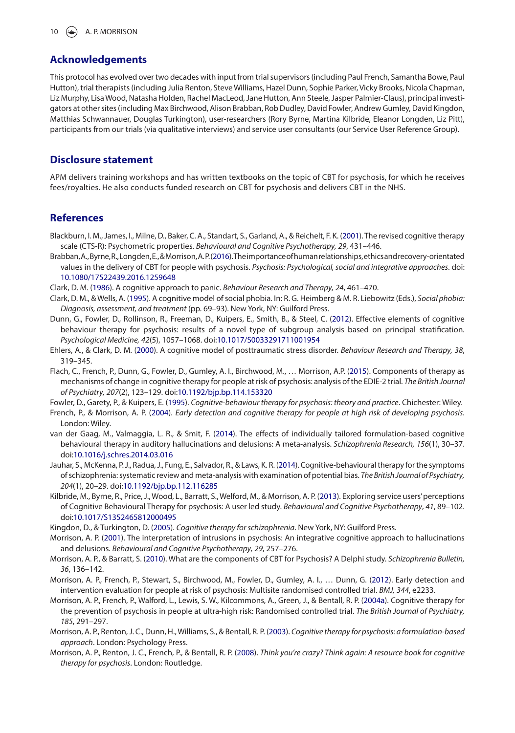#### **Acknowledgements**

This protocol has evolved over two decades with input from trial supervisors (including Paul French, Samantha Bowe, Paul Hutton), trial therapists (including Julia Renton, Steve Williams, Hazel Dunn, Sophie Parker, Vicky Brooks, Nicola Chapman, Liz Murphy, Lisa Wood, Natasha Holden, Rachel MacLeod, Jane Hutton, Ann Steele, Jasper Palmier-Claus), principal investigators at other sites (including Max Birchwood, Alison Brabban, Rob Dudley, David Fowler, Andrew Gumley, David Kingdon, Matthias Schwannauer, Douglas Turkington), user-researchers (Rory Byrne, Martina Kilbride, Eleanor Longden, Liz Pitt), participants from our trials (via qualitative interviews) and service user consultants (our Service User Reference Group).

#### **Disclosure statement**

APM delivers training workshops and has written textbooks on the topic of CBT for psychosis, for which he receives fees/royalties. He also conducts funded research on CBT for psychosis and delivers CBT in the NHS.

#### **References**

- <span id="page-10-2"></span>Blackburn, I. M., James, I., Milne, D., Baker, C. A., Standart, S., Garland, A., & Reichelt, F. K. [\(2001](#page-1-2)). The revised cognitive therapy scale (CTS-R): Psychometric properties. *Behavioural and Cognitive Psychotherapy, 29*, 431–446.
- <span id="page-10-18"></span>Brabban, A., Byrne, R., Longden, E., & Morrison, A. P. ([2016\)](#page-3-0). The importance of human relationships, ethics and recovery-orientated values in the delivery of CBT for people with psychosis. *Psychosis: Psychological, social and integrative approaches*. doi[:](http://dx.doi.org/10.1080/17522439.2016.1259648)  [10.1080/17522439.2016.1259648](http://dx.doi.org/10.1080/17522439.2016.1259648)
- <span id="page-10-15"></span>Clark, D. M. ([1986](#page-3-1)). A cognitive approach to panic. *Behaviour Research and Therapy, 24*, 461–470.
- <span id="page-10-16"></span>Clark, D. M., & Wells, A. ([1995](#page-3-2)). A cognitive model of social phobia. In: R. G. Heimberg & M. R. Liebowitz (Eds.), *Social phobia: Diagnosis, assessment, and treatment* (pp. 69–93). New York, NY: Guilford Press.
- <span id="page-10-6"></span>Dunn, G., Fowler, D., Rollinson, R., Freeman, D., Kuipers, E., Smith, B., & Steel, C. [\(2012\)](#page-2-0). Effective elements of cognitive behaviour therapy for psychosis: results of a novel type of subgroup analysis based on principal stratification. *Psychological Medicine, 42*(5), 1057–1068. doi:[10.1017/S0033291711001954](http://dx.doi.org/10.1017/S0033291711001954)
- <span id="page-10-17"></span>Ehlers, A., & Clark, D. M. ([2000](#page-3-3)). A cognitive model of posttraumatic stress disorder. *Behaviour Research and Therapy, 38*, 319–345.
- <span id="page-10-5"></span>Flach, C., French, P., Dunn, G., Fowler, D., Gumley, A. I., Birchwood, M., … Morrison, A.P. ([2015](#page-2-1)). Components of therapy as mechanisms of change in cognitive therapy for people at risk of psychosis: analysis of the EDIE-2 trial. *The British Journal of Psychiatry, 207*(2), 123–129. doi[:10.1192/bjp.bp.114.153320](http://dx.doi.org/10.1192/bjp.bp.114.153320)

<span id="page-10-13"></span>Fowler, D., Garety, P., & Kuipers, E. ([1995](#page-3-4)). *Cognitive-behaviour therapy for psychosis: theory and practice*. Chichester: Wiley.

- <span id="page-10-10"></span>French, P., & Morrison, A. P. [\(2004](#page-3-5)). *Early detection and cognitive therapy for people at high risk of developing psychosis*. London: Wiley.
- <span id="page-10-1"></span>van der Gaag, M., Valmaggia, L. R., & Smit, F. ([2014](#page-1-3)). The effects of individually tailored formulation-based cognitive behavioural therapy in auditory hallucinations and delusions: A meta-analysis. *Schizophrenia Research, 156*(1), 30–37. doi[:10.1016/j.schres.2014.03.016](http://dx.doi.org/10.1016/j.schres.2014.03.016)
- <span id="page-10-0"></span>Jauhar, S., McKenna, P. J., Radua, J., Fung, E., Salvador, R., & Laws, K. R. ([2014\)](#page-1-4). Cognitive-behavioural therapy for the symptoms of schizophrenia: systematic review and meta-analysis with examination of potential bias. *The British Journal of Psychiatry, 204*(1), 20–29. doi[:10.1192/bjp.bp.112.116285](http://dx.doi.org/10.1192/bjp.bp.112.116285)
- <span id="page-10-4"></span>Kilbride, M., Byrne, R., Price, J., Wood, L., Barratt, S., Welford, M., & Morrison, A. P. [\(2013\)](#page-2-2). Exploring service users' perceptions of Cognitive Behavioural Therapy for psychosis: A user led study. *Behavioural and Cognitive Psychotherapy*, *41*, 89–102. doi[:10.1017/S1352465812000495](http://dx.doi.org/10.1017/S1352465812000495)
- <span id="page-10-14"></span>Kingdon, D., & Turkington, D. ([2005](#page-3-6)). *Cognitive therapy for schizophrenia*. New York, NY: Guilford Press.
- <span id="page-10-9"></span>Morrison, A. P. ([2001](#page-2-3)). The interpretation of intrusions in psychosis: An integrative cognitive approach to hallucinations and delusions. *Behavioural and Cognitive Psychotherapy, 29*, 257–276.
- <span id="page-10-3"></span>Morrison, A. P., & Barratt, S. ([2010](#page-1-5)). What are the components of CBT for Psychosis? A Delphi study. *Schizophrenia Bulletin, 36*, 136–142.
- <span id="page-10-8"></span>Morrison, A. P., French, P., Stewart, S., Birchwood, M., Fowler, D., Gumley, A. I., … Dunn, G. [\(2012\)](#page-2-4). Early detection and intervention evaluation for people at risk of psychosis: Multisite randomised controlled trial. *BMJ, 344*, e2233.
- <span id="page-10-7"></span>Morrison, A. P., French, P., Walford, L., Lewis, S. W., Kilcommons, A., Green, J., & Bentall, R. P. [\(2004a\)](#page-2-5). Cognitive therapy for the prevention of psychosis in people at ultra-high risk: Randomised controlled trial. *The British Journal of Psychiatry, 185*, 291–297.
- <span id="page-10-11"></span>Morrison, A. P., Renton, J. C., Dunn, H., Williams, S., & Bentall, R. P. ([2003](#page-3-7)). *Cognitive therapy for psychosis: a formulation-based approach*. London: Psychology Press.
- <span id="page-10-12"></span>Morrison, A. P., Renton, J. C., French, P., & Bentall, R. P. [\(2008](#page-3-8)). *Think you're crazy? Think again: A resource book for cognitive therapy for psychosis*. London: Routledge.